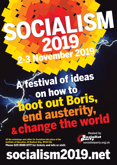# A festival of ideas on how to oot out Bor end austerity, end ausus world Hosted by

social SM

All the workshops and rallies for Socialism take place at the Institute of Education, 20 Bedford Way, WC1H 0AL Phone 020 8988 8777 for tickets and info or visit:

2-3 November



socialism2019.net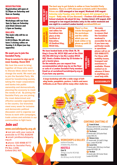#### Registration:

Registration will open at 12.30pm on Saturday and 9am on Sunday

#### Workshops:

Workshops will run from 3pm to 5pm on Saturday and 10am-12noon and 1-3pm on Sunday.

#### Rallies:

The main rally will be on **Saturday** 6.30-8.30pm. We will also have 3 closing rallies on Sunday 3-4.30pm (see top opposite)

#### We want you to join the Socialist Party.

#### Drop in session to sign up 12 noon Sunday, Room 604

We host this event to bring together all those who want to discuss ideas about how to change the world. We want you to join the Socialist Party. We stand for transforming society, taking the major corporations and banks into public ownership and democratically planning the economy to meet the needs of all. By joining the Socialist Party you are joining the most determined and effective socialist organisation in the country. Our branches meet every week for inclusive and democratic political discussion and to organise our forces to work with campaigns, trade unions and activists in our communities to fight back.

### Join us!

#### www.socialistparty.org.uk

● text join with your name & postcode to 07761 818206 ● email: join@socialistparty. org.uk

● phone: 020 8988 8777 ● write to: Socialist Party. PO Box 1398, Enfield EN1 9GT



The best way to get tickets is online or from Socialist Party members. There is a 10% discount on tickets until 1 November. Prices are: £20 unwaged or low waged, Weekend: £40 waged• Saturday only/Sunday only: £22.50 waged, £12 unwaged or low waged • Rally only: £5 (no discount) • Freshers £10 wknd/£5 day • School students £6 wknd/£3 day • Golden ticket: £70 waged, £40 unwaged or low waged (includes entry to the entire weekend and one night in a central London hostel) socialism2019.net

- All the workshops and rallies for Socialism take place at the Institute of Education, 20 Bedford Way, WC1H 0AL. where is soci alism?
	- whatWHAT ABOU tthe kids?

There's a free crèche throughout the workshops and the rallies which you can book online or by phone up until 25 October.



On the website you can request free accommodation which may be on the floor or sofa of a London Socialist Party member. Email us at socialism@socialistparty.org.uk if you have any queries.



We make every effort to ensure that the Socialism weekend is accessible for all. If you have any particular needs or questions please call us on 020 8988 8777. For those with mobility issues, transport and assistance is available. Please contact us in advance if there is anything you need help with.

#### **ACCESSIBILITY**

A large bookshop will offer a wide range of leftwing books, pamphlets, posters, t-shirts and more: leftbooks.co.uk There will be many other stalls too.

> Г п

Rallies & wórkshops at the Instituté o Education

**workshops & Rallies**

Institute of Education, 20 Bedford Way, WC1H OAL

78 King's Cross Rd, WC1X 9QG

261-265 Gray's Inn Rd, WC1X 8QT

**hostels** Clink<sub>78</sub>

Clink 261

Sleep at the Clink hostels

#### **continue chatting at**

**Friend At Hand** 

5 minute walk from IofE, 2-4 Herbrand St, Bloomsbury WC1N 1HX, serves food **R** The Rocket

10 minute walk, 120 Euston Road, London NW1 2AL

**SA** Skinners Arms 10 minute walk, 114 Judd St, Kings Cross, London WC1H 9NT

**(A)** Lucas Arms 15 minute walk, 245A Gray's Inn Road, London WC1X 8QY, UK

**B** The Boot 15 minute walk, 116 Cromer Street, London WC1H 8BS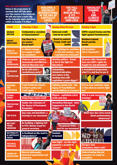#### Rallies and sessions

Below is the programme of sessions that will take place over the course of the weekend. We will also have a main rally on the Saturday night and three rallies on Sunday 3-4.30pm

#### **BUILDING A** socialist international in the era of **CAPITALIST CRISIS**

#### the fall OF T berlin wall & its **AFTERMATH** 1989-2019

**SOCIALIST** CHANGE to end **CLIMA CH** 

| <b>THEME</b>                                                   | <b>Saturday 3-5pm</b>                                                                        | <b>Sunday 10am-12 noon</b>                                                                     | <b>Sunday 1-3pm</b>                                                               |
|----------------------------------------------------------------|----------------------------------------------------------------------------------------------|------------------------------------------------------------------------------------------------|-----------------------------------------------------------------------------------|
| <b>BROKEN</b><br><b>BRITAIN</b>                                | <b>Corbynomics: socialism</b><br>or Keynesianism?                                            | <b>Universal credit</b><br>- how do we end it?                                                 | 100% council homes and the<br><b>fight against homelessness</b>                   |
| <b>BREXIT</b><br><b>QUESTIONS</b>                              | <b>Can there be a</b><br>pro-worker<br>END<br><b>Brexit deal?</b><br>VIOLENCE                | <b>Brexit in context:</b><br><b>Trump, trade and</b><br>tariffs                                | <b>Northern Ireland:</b><br><b>Brexit and the</b><br><b>border</b>                |
| <b>WHAT IS</b><br><b>SOCIALISM?</b>                            | AGAINST<br><b>Is climate change</b><br><b>WOMEN</b><br>too urgent to fight<br>for socialism? | <b>Fighting for socialism</b><br>in the 21st century - can<br>capitalism be reformed?          | <b>Did socialism</b><br>fail in Venezuela?                                        |
| <b>LIBERATION</b><br><b>FROM</b><br><b>OPPRESSION</b>          | Violence against women,<br>harassment and #MeToo -<br>what do Marxists say?                  | <b>Identity politics - friend</b><br>or foe in the fight for<br>liberation?                    | 50 years after Stonewall -<br>how can LGBT+ rights be<br>fought for and defended? |
| <b>IN DEFENCE</b><br><b>OF</b><br><b>TROTSKYISM</b>            | Do we still need a<br>revolutionary party?                                                   | <b>Automation,</b><br>deindustrialisation,                                                     | A transitional programme -<br>what it is and how to use it                        |
|                                                                |                                                                                              | zero-hours: is the<br>working class still<br>capitalism's grave-digger?                        |                                                                                   |
| <b>BUILDING</b><br><b>THE</b><br><b>FIGHTBACK</b>              | <b>Tamil Solidarity debate:</b><br><b>Corbyn's policy and</b><br><b>Tamil rights</b>         | <b>Fighting council cuts - the</b><br>legacy of Tony Mulhearn<br>and the Militant in Liverpool | £15 an hour minimum wage -<br>is this what we need to fight<br>for?               |
| <b>GLOBAL</b><br><b>CRISIS</b>                                 | <b>ECONOMIC CONTRACTOR</b><br><b>Hong Kong's mass revolt</b>                                 | Nigeria - capitalism red in<br>tooth and claw                                                  | Why is a new recession<br>looming?<br>spoints."                                   |
| <b>TROTSKYISM</b><br><b>TODAY</b>                              | <b>Sudan: the relevance of</b><br>the theory of Permanent<br><b>Revolution</b>               | <b>Revolution Betrayed - what</b><br>happened in the Soviet<br><b>Union?</b>                   | <b>LUSTERIT</b><br>ludards and<br>orkers un                                       |
| <b>THE STATE</b>                                               | <b>Spy-cops and blacklists: a</b><br>warning to our movement                                 | LOSSES                                                                                         | What does the crisis reveal<br>about parliamentary<br>democracy?                  |
| <b>MILITANT</b><br><b>TRADE</b><br><b>UNIONISM</b>             | <b>Re-building a fighting left</b><br>in PCS: Marion Lloyd for<br>general secretary          | The general strike - a<br>tool for our movement                                                |                                                                                   |
| <b>NATIONALITY</b><br><b>&amp; CAPITALIST</b><br><b>CRISIS</b> | Is Scotland on the road to<br>independence?                                                  | Kashmir<br>in turmoil                                                                          | 11111111 <i>111</i>                                                               |
| <b>POLITICAL</b><br><b>UPHEAVAL</b>                            |                                                                                              | <b>New Right - are the right</b><br>populists a prelude to<br>fascism?                         | <b>Europe's new</b><br>formations: what's left?                                   |
| <b>THEORY OF</b><br><b>REVOLUTION</b>                          | <b>Marxist philosophy:</b><br>historical materialism and<br>dialectics                       |                                                                                                | <b>Understanding Marxist</b><br>economics to ready for<br>revolution              |